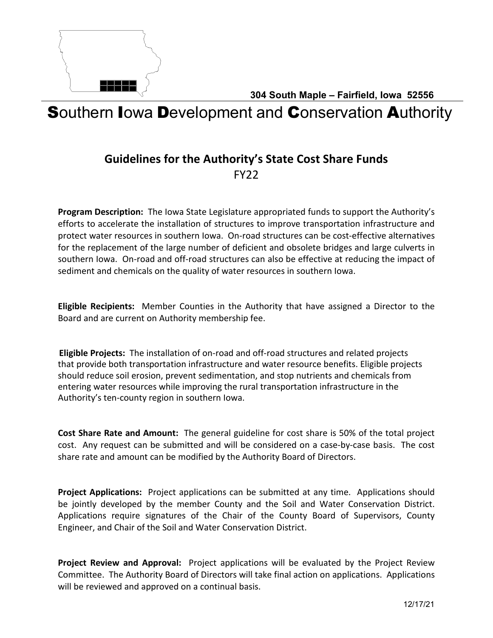

**304 South Maple – Fairfield, Iowa 52556**

# Southern Iowa Development and Conservation Authority

## **Guidelines for the Authority's State Cost Share Funds** FY22

**Program Description:** The Iowa State Legislature appropriated funds to support the Authority's efforts to accelerate the installation of structures to improve transportation infrastructure and protect water resources in southern Iowa. On-road structures can be cost-effective alternatives for the replacement of the large number of deficient and obsolete bridges and large culverts in southern Iowa. On-road and off-road structures can also be effective at reducing the impact of sediment and chemicals on the quality of water resources in southern Iowa.

**Eligible Recipients:** Member Counties in the Authority that have assigned a Director to the Board and are current on Authority membership fee.

**Eligible Projects:** The installation of on-road and off-road structures and related projects that provide both transportation infrastructure and water resource benefits. Eligible projects should reduce soil erosion, prevent sedimentation, and stop nutrients and chemicals from entering water resources while improving the rural transportation infrastructure in the Authority's ten-county region in southern Iowa.

**Cost Share Rate and Amount:** The general guideline for cost share is 50% of the total project cost. Any request can be submitted and will be considered on a case-by-case basis. The cost share rate and amount can be modified by the Authority Board of Directors.

**Project Applications:** Project applications can be submitted at any time. Applications should be jointly developed by the member County and the Soil and Water Conservation District. Applications require signatures of the Chair of the County Board of Supervisors, County Engineer, and Chair of the Soil and Water Conservation District.

**Project Review and Approval:** Project applications will be evaluated by the Project Review Committee. The Authority Board of Directors will take final action on applications. Applications will be reviewed and approved on a continual basis.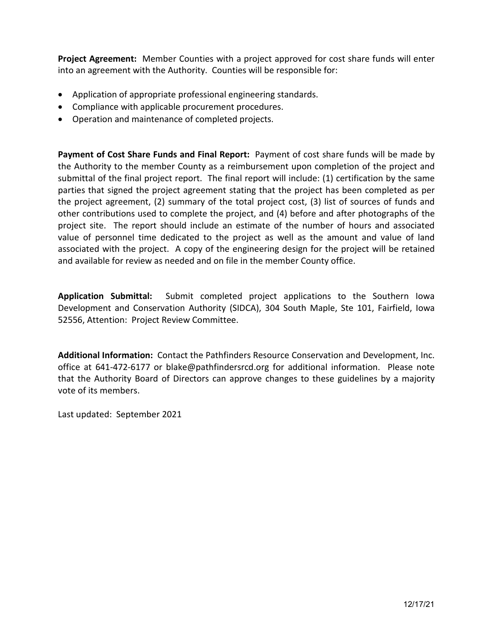**Project Agreement:** Member Counties with a project approved for cost share funds will enter into an agreement with the Authority. Counties will be responsible for:

- Application of appropriate professional engineering standards.
- Compliance with applicable procurement procedures.
- Operation and maintenance of completed projects.

**Payment of Cost Share Funds and Final Report:** Payment of cost share funds will be made by the Authority to the member County as a reimbursement upon completion of the project and submittal of the final project report. The final report will include: (1) certification by the same parties that signed the project agreement stating that the project has been completed as per the project agreement, (2) summary of the total project cost, (3) list of sources of funds and other contributions used to complete the project, and (4) before and after photographs of the project site. The report should include an estimate of the number of hours and associated value of personnel time dedicated to the project as well as the amount and value of land associated with the project. A copy of the engineering design for the project will be retained and available for review as needed and on file in the member County office.

**Application Submittal:** Submit completed project applications to the Southern Iowa Development and Conservation Authority (SIDCA), 304 South Maple, Ste 101, Fairfield, Iowa 52556, Attention: Project Review Committee.

**Additional Information:** Contact the Pathfinders Resource Conservation and Development, Inc. office at 641-472-6177 or blake@pathfindersrcd.org for additional information. Please note that the Authority Board of Directors can approve changes to these guidelines by a majority vote of its members.

Last updated: September 2021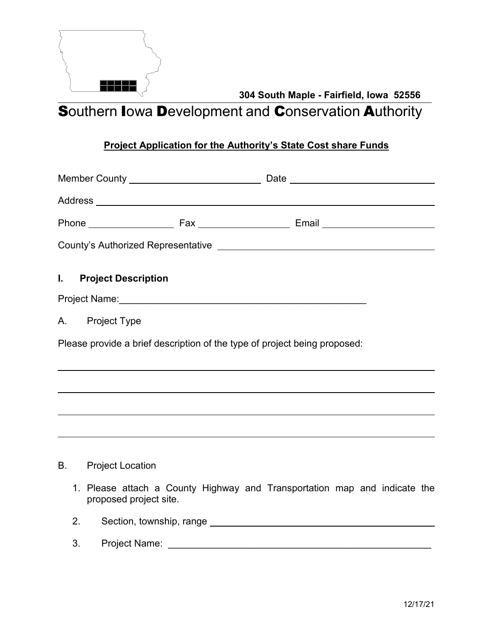

**304 South Maple - Fairfield, Iowa 52556**

**Southern Iowa Development and Conservation Authority** 

### **Project Application for the Authority's State Cost share Funds**

| I. Project Description                                                    |  |  |
|---------------------------------------------------------------------------|--|--|
|                                                                           |  |  |
| A. Project Type                                                           |  |  |
| Please provide a brief description of the type of project being proposed: |  |  |
|                                                                           |  |  |
|                                                                           |  |  |
|                                                                           |  |  |
| <b>B.</b> Project Location                                                |  |  |
| 1. Please attach a County Highway and Transportation map and indicate the |  |  |

- proposed project site.
- 2. Section, township, range
- 3. Project Name: \_\_\_\_\_\_\_\_\_\_\_\_\_\_\_\_\_\_\_\_\_\_\_\_\_\_\_\_\_\_\_\_\_\_\_\_\_\_\_\_\_\_\_\_\_\_\_\_\_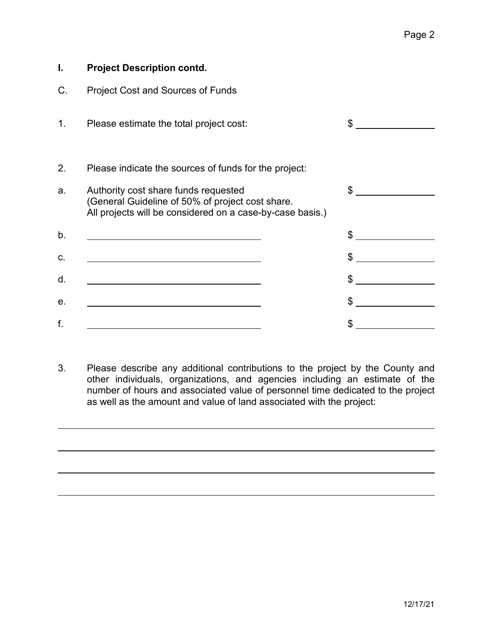| <b>Project Description contd.</b>                                                                                                                     |    |
|-------------------------------------------------------------------------------------------------------------------------------------------------------|----|
| Project Cost and Sources of Funds                                                                                                                     |    |
| Please estimate the total project cost:                                                                                                               | \$ |
| Please indicate the sources of funds for the project:                                                                                                 |    |
| Authority cost share funds requested<br>(General Guideline of 50% of project cost share.<br>All projects will be considered on a case-by-case basis.) | \$ |
| <u> 1980 - Johann Barn, mars an t-Amerikaansk kommunist (</u>                                                                                         | \$ |
|                                                                                                                                                       | \$ |
|                                                                                                                                                       | \$ |
|                                                                                                                                                       | S  |
|                                                                                                                                                       | \$ |
|                                                                                                                                                       |    |

3. Please describe any additional contributions to the project by the County and other individuals, organizations, and agencies including an estimate of the number of hours and associated value of personnel time dedicated to the project as well as the amount and value of land associated with the project: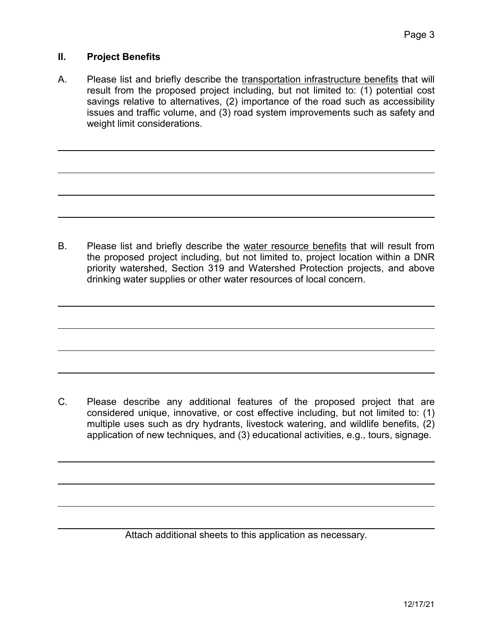#### **II. Project Benefits**

A. Please list and briefly describe the transportation infrastructure benefits that will result from the proposed project including, but not limited to: (1) potential cost savings relative to alternatives, (2) importance of the road such as accessibility issues and traffic volume, and (3) road system improvements such as safety and weight limit considerations.

B. Please list and briefly describe the water resource benefits that will result from the proposed project including, but not limited to, project location within a DNR priority watershed, Section 319 and Watershed Protection projects, and above drinking water supplies or other water resources of local concern.

C. Please describe any additional features of the proposed project that are considered unique, innovative, or cost effective including, but not limited to: (1) multiple uses such as dry hydrants, livestock watering, and wildlife benefits, (2) application of new techniques, and (3) educational activities, e.g., tours, signage.

Attach additional sheets to this application as necessary.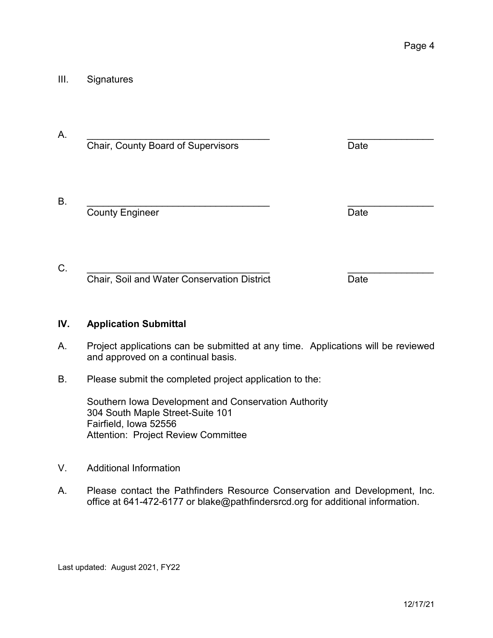#### III. Signatures

| Chair, County Board of Supervisors          | Date |  |
|---------------------------------------------|------|--|
| <b>County Engineer</b>                      | Date |  |
| Chair, Soil and Water Conservation District | Date |  |

#### **IV. Application Submittal**

- A. Project applications can be submitted at any time. Applications will be reviewed and approved on a continual basis.
- B. Please submit the completed project application to the:

Southern Iowa Development and Conservation Authority 304 South Maple Street-Suite 101 Fairfield, Iowa 52556 Attention: Project Review Committee

- V. Additional Information
- A. Please contact the Pathfinders Resource Conservation and Development, Inc. office at 641-472-6177 or blake@pathfindersrcd.org for additional information.

Last updated: August 2021, FY22